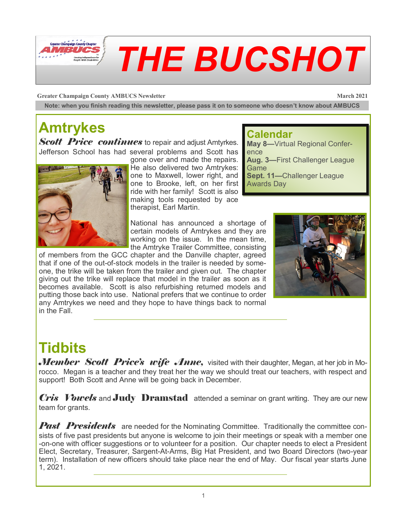

**Greater Champaign County AMBUCS Newsletter March 2021** 

**Note: when you finish reading this newsletter, please pass it on to someone who doesn't know about AMBUCS**

## **Amtrykes**

*Scott Price continues* to repair and adjust Amtyrkes. Jefferson School has had several problems and Scott has



gone over and made the repairs. He also delivered two Amtrykes: one to Maxwell, lower right, and one to Brooke, left, on her first Awards Dayride with her family! Scott is also making tools requested by ace therapist, Earl Martin.

#### **Calendar**

**May 8—**Virtual Regional Conference **Aug. 3—**First Challenger League **Game Sept. 11—**Challenger League

National has announced a shortage of certain models of Amtrykes and they are working on the issue. In the mean time, the Amtryke Trailer Committee, consisting

of members from the GCC chapter and the Danville chapter, agreed that if one of the out-of-stock models in the trailer is needed by someone, the trike will be taken from the trailer and given out. The chapter giving out the trike will replace that model in the trailer as soon as it becomes available. Scott is also refurbishing returned models and putting those back into use. National prefers that we continue to order any Amtrykes we need and they hope to have things back to normal in the Fall.



### **Tidbits**

*Member Scott Price's wife Anne*, visited with their daughter, Megan, at her job in Morocco. Megan is a teacher and they treat her the way we should treat our teachers, with respect and support! Both Scott and Anne will be going back in December.

*Cris Vowels* and **Judy Dramstad** attended a seminar on grant writing. They are our new team for grants.

**Past Presidents** are needed for the Nominating Committee. Traditionally the committee consists of five past presidents but anyone is welcome to join their meetings or speak with a member one -on-one with officer suggestions or to volunteer for a position. Our chapter needs to elect a President Elect, Secretary, Treasurer, Sargent-At-Arms, Big Hat President, and two Board Directors (two-year term). Installation of new officers should take place near the end of May. Our fiscal year starts June 1, 2021.